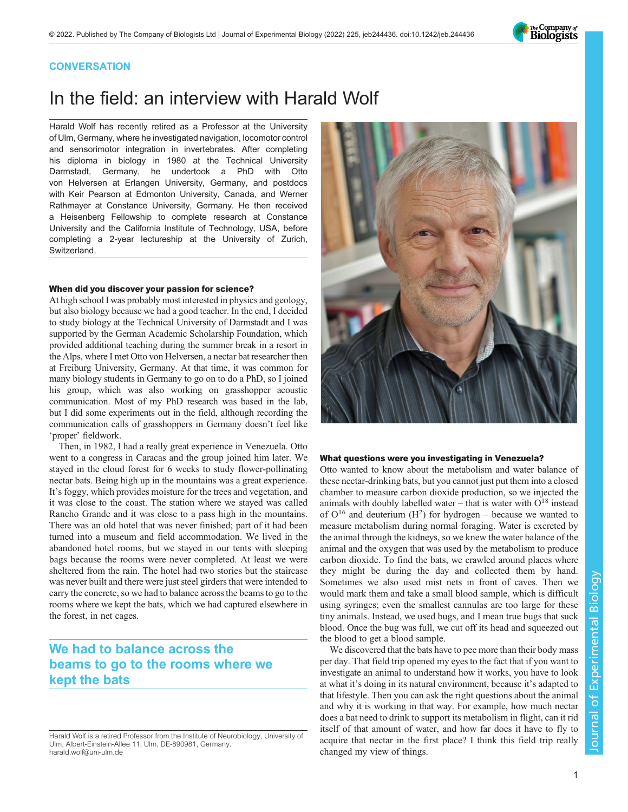

# **CONVERSATION**

# In the field: an interview with Harald Wolf

Harald Wolf has recently retired as a Professor at the University of Ulm, Germany, where he investigated navigation, locomotor control and sensorimotor integration in invertebrates. After completing his diploma in biology in 1980 at the Technical University Darmstadt, Germany, he undertook a PhD with Otto von Helversen at Erlangen University, Germany, and postdocs with Keir Pearson at Edmonton University, Canada, and Werner Rathmayer at Constance University, Germany. He then received a Heisenberg Fellowship to complete research at Constance University and the California Institute of Technology, USA, before completing a 2-year lectureship at the University of Zurich, Switzerland.

#### When did you discover your passion for science?

At high school I was probably most interested in physics and geology, but also biology because we had a good teacher. In the end, I decided to study biology at the Technical University of Darmstadt and I was supported by the German Academic Scholarship Foundation, which provided additional teaching during the summer break in a resort in the Alps, where I met Otto von Helversen, a nectar bat researcher then at Freiburg University, Germany. At that time, it was common for many biology students in Germany to go on to do a PhD, so I joined his group, which was also working on grasshopper acoustic communication. Most of my PhD research was based in the lab, but I did some experiments out in the field, although recording the communication calls of grasshoppers in Germany doesn't feel like 'proper' fieldwork.

Then, in 1982, I had a really great experience in Venezuela. Otto went to a congress in Caracas and the group joined him later. We stayed in the cloud forest for 6 weeks to study flower-pollinating nectar bats. Being high up in the mountains was a great experience. It's foggy, which provides moisture for the trees and vegetation, and it was close to the coast. The station where we stayed was called Rancho Grande and it was close to a pass high in the mountains. There was an old hotel that was never finished; part of it had been turned into a museum and field accommodation. We lived in the abandoned hotel rooms, but we stayed in our tents with sleeping bags because the rooms were never completed. At least we were sheltered from the rain. The hotel had two stories but the staircase was never built and there were just steel girders that were intended to carry the concrete, so we had to balance across the beams to go to the rooms where we kept the bats, which we had captured elsewhere in the forest, in net cages.

# We had to balance across the beams to go to the rooms where we kept the bats



#### What questions were you investigating in Venezuela?

Otto wanted to know about the metabolism and water balance of these nectar-drinking bats, but you cannot just put them into a closed chamber to measure carbon dioxide production, so we injected the animals with doubly labelled water – that is water with  $O^{18}$  instead of  $O^{16}$  and deuterium ( $H^2$ ) for hydrogen – because we wanted to measure metabolism during normal foraging. Water is excreted by the animal through the kidneys, so we knew the water balance of the animal and the oxygen that was used by the metabolism to produce carbon dioxide. To find the bats, we crawled around places where they might be during the day and collected them by hand. Sometimes we also used mist nets in front of caves. Then we would mark them and take a small blood sample, which is difficult using syringes; even the smallest cannulas are too large for these tiny animals. Instead, we used bugs, and I mean true bugs that suck blood. Once the bug was full, we cut off its head and squeezed out the blood to get a blood sample.

We discovered that the bats have to pee more than their body mass per day. That field trip opened my eyes to the fact that if you want to investigate an animal to understand how it works, you have to look at what it's doing in its natural environment, because it's adapted to that lifestyle. Then you can ask the right questions about the animal and why it is working in that way. For example, how much nectar does a bat need to drink to support its metabolism in flight, can it rid itself of that amount of water, and how far does it have to fly to acquire that nectar in the first place? I think this field trip really changed my view of things.

Harald Wolf is a retired Professor from the Institute of Neurobiology, University of Ulm, Albert-Einstein-Allee 11, Ulm, DE-890981, Germany. harald.wolf@uni-ulm.de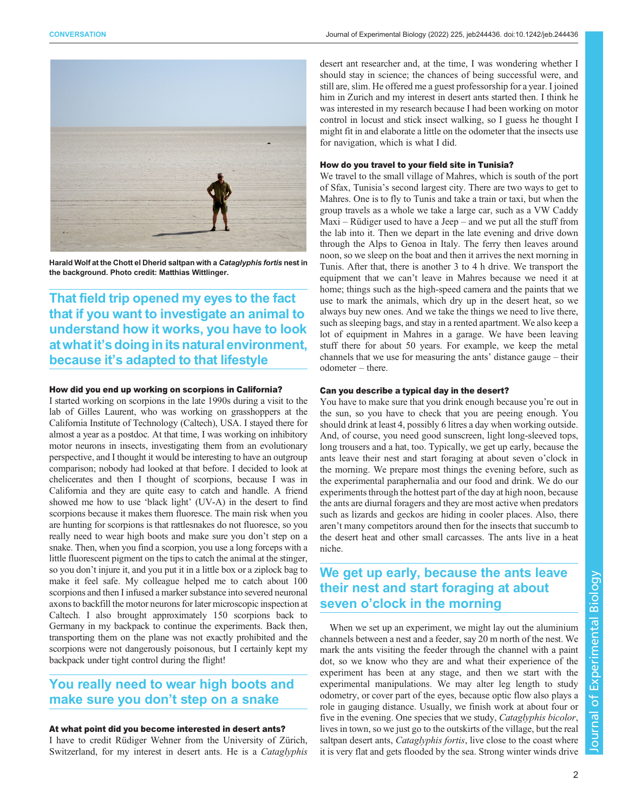

Harald Wolf at the Chott el Dherid saltpan with a Cataglyphis fortis nest in the background. Photo credit: Matthias Wittlinger.

That field trip opened my eyes to the fact that if you want to investigate an animal to understand how it works, you have to look at what it's doing in its natural environment, because it's adapted to that lifestyle

### How did you end up working on scorpions in California?

I started working on scorpions in the late 1990s during a visit to the lab of Gilles Laurent, who was working on grasshoppers at the California Institute of Technology (Caltech), USA. I stayed there for almost a year as a postdoc. At that time, I was working on inhibitory motor neurons in insects, investigating them from an evolutionary perspective, and I thought it would be interesting to have an outgroup comparison; nobody had looked at that before. I decided to look at chelicerates and then I thought of scorpions, because I was in California and they are quite easy to catch and handle. A friend showed me how to use 'black light' (UV-A) in the desert to find scorpions because it makes them fluoresce. The main risk when you are hunting for scorpions is that rattlesnakes do not fluoresce, so you really need to wear high boots and make sure you don't step on a snake. Then, when you find a scorpion, you use a long forceps with a little fluorescent pigment on the tips to catch the animal at the stinger, so you don't injure it, and you put it in a little box or a ziplock bag to make it feel safe. My colleague helped me to catch about 100 scorpions and then I infused a marker substance into severed neuronal axons to backfill the motor neurons for later microscopic inspection at Caltech. I also brought approximately 150 scorpions back to Germany in my backpack to continue the experiments. Back then, transporting them on the plane was not exactly prohibited and the scorpions were not dangerously poisonous, but I certainly kept my backpack under tight control during the flight!

# You really need to wear high boots and make sure you don't step on a snake

## At what point did you become interested in desert ants?

I have to credit Rüdiger Wehner from the University of Zürich, Switzerland, for my interest in desert ants. He is a *Cataglyphis* 

desert ant researcher and, at the time, I was wondering whether I should stay in science; the chances of being successful were, and still are, slim. He offered me a guest professorship for a year. I joined him in Zurich and my interest in desert ants started then. I think he was interested in my research because I had been working on motor control in locust and stick insect walking, so I guess he thought I might fit in and elaborate a little on the odometer that the insects use for navigation, which is what I did.

#### How do you travel to your field site in Tunisia?

We travel to the small village of Mahres, which is south of the port of Sfax, Tunisia's second largest city. There are two ways to get to Mahres. One is to fly to Tunis and take a train or taxi, but when the group travels as a whole we take a large car, such as a VW Caddy Maxi – Rüdiger used to have a Jeep – and we put all the stuff from the lab into it. Then we depart in the late evening and drive down through the Alps to Genoa in Italy. The ferry then leaves around noon, so we sleep on the boat and then it arrives the next morning in Tunis. After that, there is another 3 to 4 h drive. We transport the equipment that we can't leave in Mahres because we need it at home; things such as the high-speed camera and the paints that we use to mark the animals, which dry up in the desert heat, so we always buy new ones. And we take the things we need to live there, such as sleeping bags, and stay in a rented apartment. We also keep a lot of equipment in Mahres in a garage. We have been leaving stuff there for about 50 years. For example, we keep the metal channels that we use for measuring the ants' distance gauge – their odometer – there.

### Can you describe a typical day in the desert?

You have to make sure that you drink enough because you're out in the sun, so you have to check that you are peeing enough. You should drink at least 4, possibly 6 litres a day when working outside. And, of course, you need good sunscreen, light long-sleeved tops, long trousers and a hat, too. Typically, we get up early, because the ants leave their nest and start foraging at about seven o'clock in the morning. We prepare most things the evening before, such as the experimental paraphernalia and our food and drink. We do our experiments through the hottest part of the day at high noon, because the ants are diurnal foragers and they are most active when predators such as lizards and geckos are hiding in cooler places. Also, there aren't many competitors around then for the insects that succumb to the desert heat and other small carcasses. The ants live in a heat niche.

# We get up early, because the ants leave their nest and start foraging at about seven o'clock in the morning

When we set up an experiment, we might lay out the aluminium channels between a nest and a feeder, say 20 m north of the nest. We mark the ants visiting the feeder through the channel with a paint dot, so we know who they are and what their experience of the experiment has been at any stage, and then we start with the experimental manipulations. We may alter leg length to study odometry, or cover part of the eyes, because optic flow also plays a role in gauging distance. Usually, we finish work at about four or five in the evening. One species that we study, Cataglyphis bicolor, lives in town, so we just go to the outskirts of the village, but the real saltpan desert ants, Cataglyphis fortis, live close to the coast where it is very flat and gets flooded by the sea. Strong winter winds drive